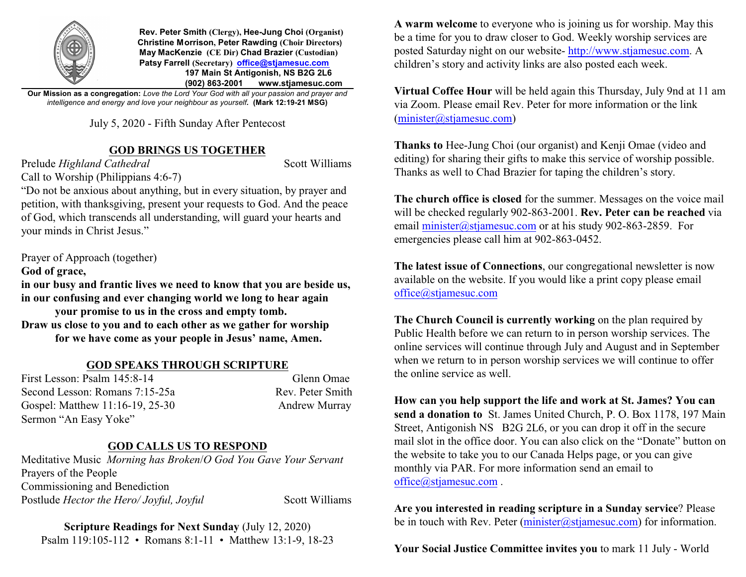

 **Rev. Peter Smith (Clergy), Hee-Jung Choi (Organist) Christine Morrison, Peter Rawding (Choir Directors) May MacKenzie (CE Dir) Chad Brazier (Custodian) Patsy Farrell (Secretary) [office@stjamesuc.com](mailto:office@stjamesuc.com) 197 Main St Antigonish, NS B2G 2L6 (902) 863-2001 [www.stjamesuc.com](http://www.stjamesuc.com)**

**Our Mission as a congregation:** *Love the Lord Your God with all your passion and prayer and intelligence and energy and love your neighbour as yourself.* **(Mark 12:19-21 MSG)**

July 5, 2020 - Fifth Sunday After Pentecost

## **GOD BRINGS US TOGETHER**

Prelude *Highland Cathedral* Scott Williams Call to Worship (Philippians 4:6-7)

"Do not be anxious about anything, but in every situation, by prayer and petition, with thanksgiving, present your requests to God. And the peace of God, which transcends all understanding, will guard your hearts and your minds in Christ Jesus."

Prayer of Approach (together)

## **God of grace,**

**in our busy and frantic lives we need to know that you are beside us, in our confusing and ever changing world we long to hear again** 

**your promise to us in the cross and empty tomb. Draw us close to you and to each other as we gather for worship for we have come as your people in Jesus' name, Amen.**

## **GOD SPEAKS THROUGH SCRIPTURE**

First Lesson: Psalm 145:8-14 Glenn Omae Second Lesson: Romans 7:15-25a Rev. Peter Smith Gospel: Matthew 11:16-19, 25-30 Andrew Murray Sermon "An Easy Yoke"

## **GOD CALLS US TO RESPOND**

Meditative Music *Morning has Broken*/*O God You Gave Your Servant* Prayers of the People Commissioning and Benediction Postlude *Hector the Hero/ Joyful, Joyful* Scott Williams

**Scripture Readings for Next Sunday** (July 12, 2020) Psalm 119:105-112 • Romans 8:1-11 • Matthew 13:1-9, 18-23 **A warm welcome** to everyone who is joining us for worship. May this be a time for you to draw closer to God. Weekly worship services are posted Saturday night on our website-<http://www.stjamesuc.com>. A children's story and activity links are also posted each week.

**Virtual Coffee Hour** will be held again this Thursday, July 9nd at 11 am via Zoom. Please email Rev. Peter for more information or the link [\(minister@stjamesuc.com](mailto:minister@stjamesuc.com))

**Thanks to** Hee-Jung Choi (our organist) and Kenji Omae (video and editing) for sharing their gifts to make this service of worship possible. Thanks as well to Chad Brazier for taping the children's story.

**The church office is closed** for the summer. Messages on the voice mail will be checked regularly 902-863-2001. **Rev. Peter can be reached** via email [minister@stjamesuc.com](mailto:minister@stjamesuc.com) or at his study 902-863-2859. For emergencies please call him at 902-863-0452.

**The latest issue of Connections**, our congregational newsletter is now available on the website. If you would like a print copy please email [office@stjamesuc.com](mailto:office@stjamesuc.com)

**The Church Council is currently working** on the plan required by Public Health before we can return to in person worship services. The online services will continue through July and August and in September when we return to in person worship services we will continue to offer the online service as well.

**How can you help support the life and work at St. James? You can send a donation to** St. James United Church, P. O. Box 1178, 197 Main Street, Antigonish NS B2G 2L6, or you can drop it off in the secure mail slot in the office door. You can also click on the "Donate" button on the website to take you to our Canada Helps page, or you can give monthly via PAR. For more information send an email to [office@stjamesuc.com](mailto:office@stjamesuc.com).

**Are you interested in reading scripture in a Sunday service**? Please be in touch with Rev. Peter  $(\text{minister}(\hat{\omega} \text{stiamesc.com})$  for information.

**Your Social Justice Committee invites you** to mark 11 July - World